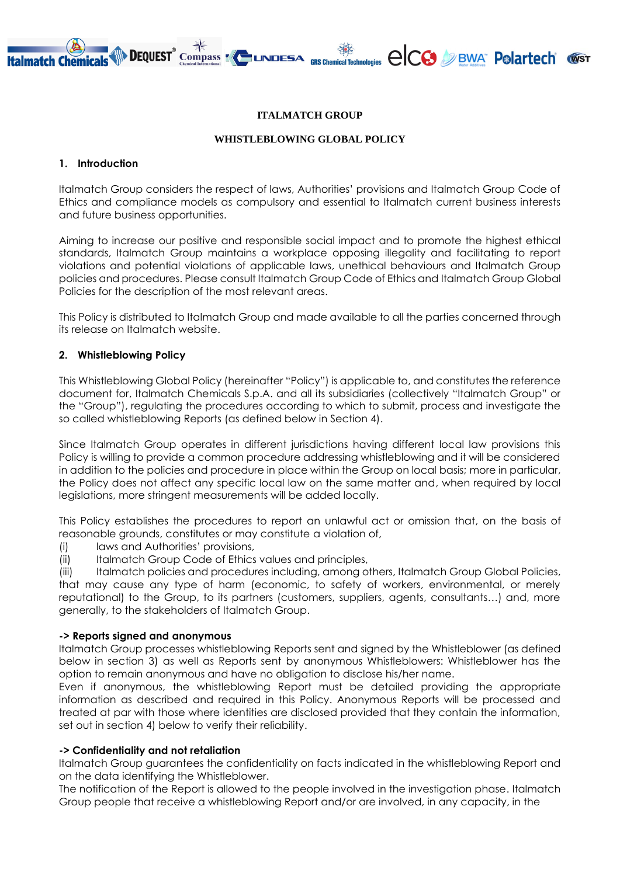# **DEQUEST** Compass  $\sum_{\text{CSM}}$  LINDESA  $_{\text{GRS Chemical Technology}}$   $\bigcirc$   $\bigcirc$   $\bigcirc$  BWA  $\bigcirc$  P $\circ$  and  $\circ$   $\circ$

### **ITALMATCH GROUP**

#### **WHISTLEBLOWING GLOBAL POLICY**

#### **1. Introduction**

Italmatch Group considers the respect of laws, Authorities' provisions and Italmatch Group Code of Ethics and compliance models as compulsory and essential to Italmatch current business interests and future business opportunities.

Aiming to increase our positive and responsible social impact and to promote the highest ethical standards, Italmatch Group maintains a workplace opposing illegality and facilitating to report violations and potential violations of applicable laws, unethical behaviours and Italmatch Group policies and procedures. Please consult Italmatch Group Code of Ethics and Italmatch Group Global Policies for the description of the most relevant areas.

This Policy is distributed to Italmatch Group and made available to all the parties concerned through its release on Italmatch website.

## **2. Whistleblowing Policy**

This Whistleblowing Global Policy (hereinafter "Policy") is applicable to, and constitutes the reference document for, Italmatch Chemicals S.p.A. and all its subsidiaries (collectively "Italmatch Group" or the "Group"), regulating the procedures according to which to submit, process and investigate the so called whistleblowing Reports (as defined below in Section 4).

Since Italmatch Group operates in different jurisdictions having different local law provisions this Policy is willing to provide a common procedure addressing whistleblowing and it will be considered in addition to the policies and procedure in place within the Group on local basis; more in particular, the Policy does not affect any specific local law on the same matter and, when required by local legislations, more stringent measurements will be added locally.

This Policy establishes the procedures to report an unlawful act or omission that, on the basis of reasonable grounds, constitutes or may constitute a violation of,

- (i) laws and Authorities' provisions,
- (ii) Italmatch Group Code of Ethics values and principles,

(iii) Italmatch policies and procedures including, among others, Italmatch Group Global Policies, that may cause any type of harm (economic, to safety of workers, environmental, or merely reputational) to the Group, to its partners (customers, suppliers, agents, consultants…) and, more generally, to the stakeholders of Italmatch Group.

### **-> Reports signed and anonymous**

Italmatch Group processes whistleblowing Reports sent and signed by the Whistleblower (as defined below in section 3) as well as Reports sent by anonymous Whistleblowers: Whistleblower has the option to remain anonymous and have no obligation to disclose his/her name.

Even if anonymous, the whistleblowing Report must be detailed providing the appropriate information as described and required in this Policy. Anonymous Reports will be processed and treated at par with those where identities are disclosed provided that they contain the information, set out in section 4) below to verify their reliability.

### **-> Confidentiality and not retaliation**

Italmatch Group guarantees the confidentiality on facts indicated in the whistleblowing Report and on the data identifying the Whistleblower.

The notification of the Report is allowed to the people involved in the investigation phase. Italmatch Group people that receive a whistleblowing Report and/or are involved, in any capacity, in the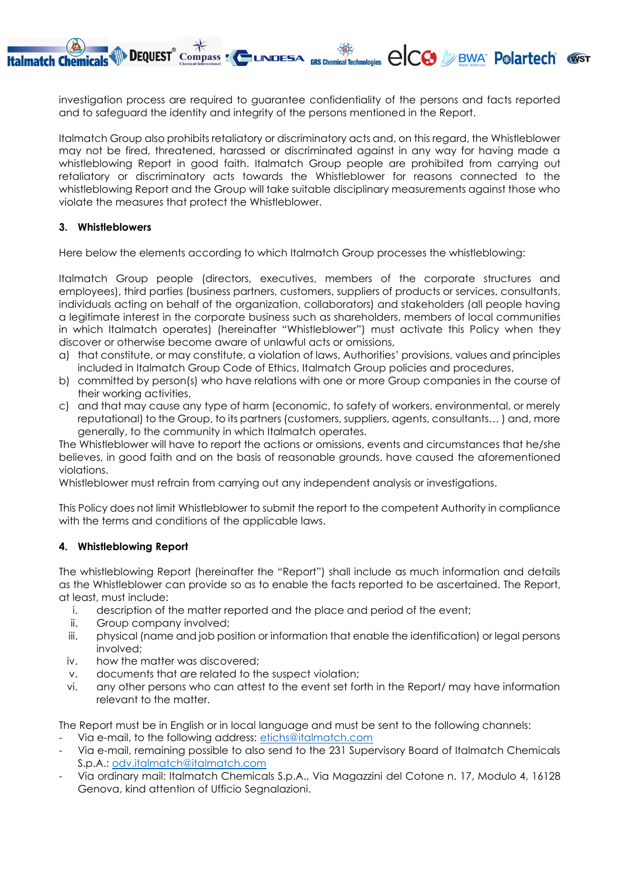investigation process are required to guarantee confidentiality of the persons and facts reported and to safeguard the identity and integrity of the persons mentioned in the Report.

**DEQUEST** Compass **Example Section** CRIS Chemical Technologies  $\bigcirc$  CCO DIBWA POLATTECH WST

Italmatch Group also prohibits retaliatory or discriminatory acts and, on this regard, the Whistleblower may not be fired, threatened, harassed or discriminated against in any way for having made a whistleblowing Report in good faith. Italmatch Group people are prohibited from carrying out retaliatory or discriminatory acts towards the Whistleblower for reasons connected to the whistleblowing Report and the Group will take suitable disciplinary measurements against those who violate the measures that protect the Whistleblower.

## **3. Whistleblowers**

**Italmatch Chemicals** 

Here below the elements according to which Italmatch Group processes the whistleblowing:

Italmatch Group people (directors, executives, members of the corporate structures and employees), third parties (business partners, customers, suppliers of products or services, consultants, individuals acting on behalf of the organization, collaborators) and stakeholders (all people having a legitimate interest in the corporate business such as shareholders, members of local communities in which Italmatch operates) (hereinafter "Whistleblower") must activate this Policy when they discover or otherwise become aware of unlawful acts or omissions,

- a) that constitute, or may constitute, a violation of laws, Authorities' provisions, values and principles included in Italmatch Group Code of Ethics, Italmatch Group policies and procedures,
- b) committed by person(s) who have relations with one or more Group companies in the course of their working activities,
- c) and that may cause any type of harm (economic, to safety of workers, environmental, or merely reputational) to the Group, to its partners (customers, suppliers, agents, consultants… ) and, more generally, to the community in which Italmatch operates.

The Whistleblower will have to report the actions or omissions, events and circumstances that he/she believes, in good faith and on the basis of reasonable grounds, have caused the aforementioned violations.

Whistleblower must refrain from carrying out any independent analysis or investigations.

This Policy does not limit Whistleblower to submit the report to the competent Authority in compliance with the terms and conditions of the applicable laws.

## **4. Whistleblowing Report**

The whistleblowing Report (hereinafter the "Report") shall include as much information and details as the Whistleblower can provide so as to enable the facts reported to be ascertained. The Report, at least, must include:

- i. description of the matter reported and the place and period of the event;
- ii. Group company involved;
- iii. physical (name and job position or information that enable the identification) or legal persons involved;
- iv. how the matter was discovered;
- v. documents that are related to the suspect violation;
- vi. any other persons who can attest to the event set forth in the Report/ may have information relevant to the matter.

The Report must be in English or in local language and must be sent to the following channels:

- Via e-mail, to the following address: [etichs@italmatch.com](mailto:etichs@italmatch.com)
- Via e-mail, remaining possible to also send to the 231 Supervisory Board of Italmatch Chemicals S.p.A.: [odv.italmatch@italmatch.com](mailto:odv.italmatch@italmatch.com)
- Via ordinary mail: Italmatch Chemicals S.p.A., Via Magazzini del Cotone n. 17, Modulo 4, 16128 Genova, kind attention of Ufficio Segnalazioni.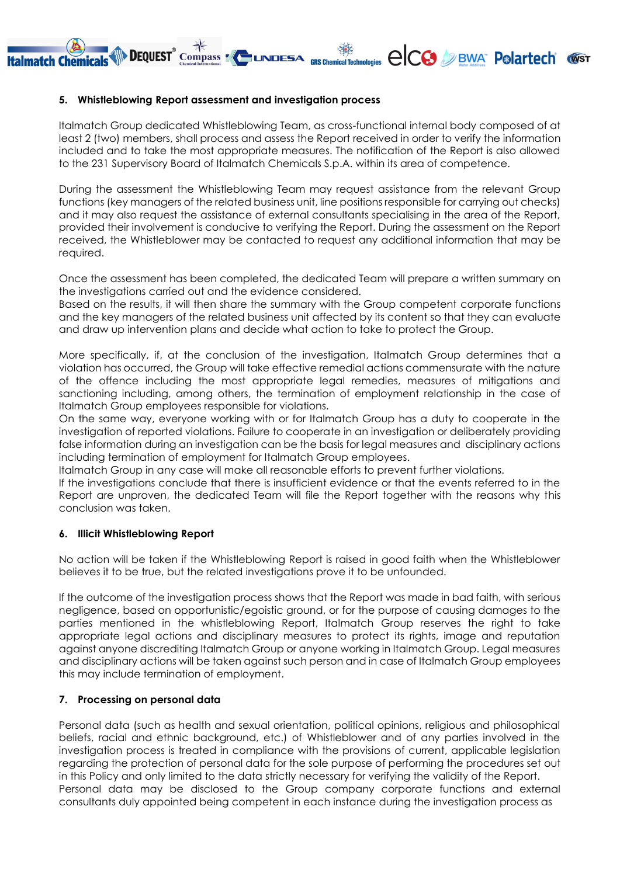## **5. Whistleblowing Report assessment and investigation process**

**Italmatch Chemicals** 

DEQUEST Compass A LINDESA RES Chemical Tech

Italmatch Group dedicated Whistleblowing Team, as cross-functional internal body composed of at least 2 (two) members, shall process and assess the Report received in order to verify the information included and to take the most appropriate measures. The notification of the Report is also allowed to the 231 Supervisory Board of Italmatch Chemicals S.p.A. within its area of competence.

malagies elcc / BWA Polartech WST

During the assessment the Whistleblowing Team may request assistance from the relevant Group functions (key managers of the related business unit, line positions responsible for carrying out checks) and it may also request the assistance of external consultants specialising in the area of the Report, provided their involvement is conducive to verifying the Report. During the assessment on the Report received, the Whistleblower may be contacted to request any additional information that may be required.

Once the assessment has been completed, the dedicated Team will prepare a written summary on the investigations carried out and the evidence considered.

Based on the results, it will then share the summary with the Group competent corporate functions and the key managers of the related business unit affected by its content so that they can evaluate and draw up intervention plans and decide what action to take to protect the Group.

More specifically, if, at the conclusion of the investigation, Italmatch Group determines that a violation has occurred, the Group will take effective remedial actions commensurate with the nature of the offence including the most appropriate legal remedies, measures of mitigations and sanctioning including, among others, the termination of employment relationship in the case of Italmatch Group employees responsible for violations.

On the same way, everyone working with or for Italmatch Group has a duty to cooperate in the investigation of reported violations. Failure to cooperate in an investigation or deliberately providing false information during an investigation can be the basis for legal measures and disciplinary actions including termination of employment for Italmatch Group employees.

Italmatch Group in any case will make all reasonable efforts to prevent further violations.

If the investigations conclude that there is insufficient evidence or that the events referred to in the Report are unproven, the dedicated Team will file the Report together with the reasons why this conclusion was taken.

## **6. Illicit Whistleblowing Report**

No action will be taken if the Whistleblowing Report is raised in good faith when the Whistleblower believes it to be true, but the related investigations prove it to be unfounded.

If the outcome of the investigation process shows that the Report was made in bad faith, with serious negligence, based on opportunistic/egoistic ground, or for the purpose of causing damages to the parties mentioned in the whistleblowing Report, Italmatch Group reserves the right to take appropriate legal actions and disciplinary measures to protect its rights, image and reputation against anyone discrediting Italmatch Group or anyone working in Italmatch Group. Legal measures and disciplinary actions will be taken against such person and in case of Italmatch Group employees this may include termination of employment.

# **7. Processing on personal data**

Personal data (such as health and sexual orientation, political opinions, religious and philosophical beliefs, racial and ethnic background, etc.) of Whistleblower and of any parties involved in the investigation process is treated in compliance with the provisions of current, applicable legislation regarding the protection of personal data for the sole purpose of performing the procedures set out in this Policy and only limited to the data strictly necessary for verifying the validity of the Report. Personal data may be disclosed to the Group company corporate functions and external consultants duly appointed being competent in each instance during the investigation process as